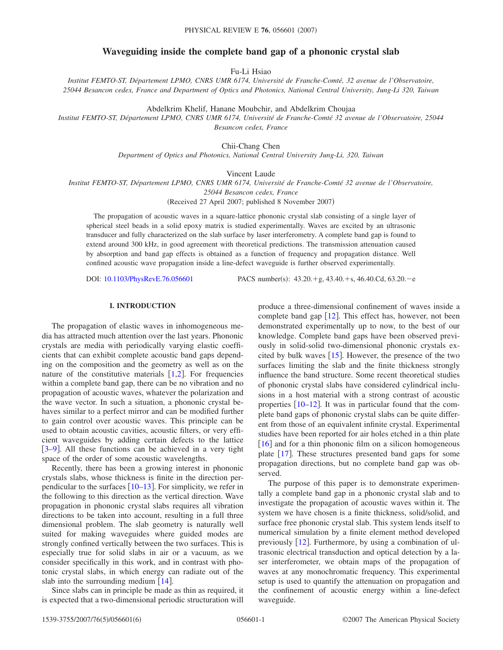# **Waveguiding inside the complete band gap of a phononic crystal slab**

Fu-Li Hsiao

*Institut FEMTO-ST, Département LPMO, CNRS UMR 6174, Université de Franche-Comté, 32 avenue de l'Observatoire, 25044 Besancon cedex, France and Department of Optics and Photonics, National Central University, Jung-Li 320, Taiwan*

Abdelkrim Khelif, Hanane Moubchir, and Abdelkrim Choujaa

*Institut FEMTO-ST, Département LPMO, CNRS UMR 6174, Université de Franche-Comté 32 avenue de l'Observatoire, 25044 Besancon cedex, France*

Chii-Chang Chen

*Department of Optics and Photonics, National Central University Jung-Li, 320, Taiwan*

Vincent Laude

*Institut FEMTO-ST, Département LPMO, CNRS UMR 6174, Université de Franche-Comté 32 avenue de l'Observatoire,*

*25044 Besancon cedex, France*

(Received 27 April 2007; published 8 November 2007)

The propagation of acoustic waves in a square-lattice phononic crystal slab consisting of a single layer of spherical steel beads in a solid epoxy matrix is studied experimentally. Waves are excited by an ultrasonic transducer and fully characterized on the slab surface by laser interferometry. A complete band gap is found to extend around 300 kHz, in good agreement with theoretical predictions. The transmission attenuation caused by absorption and band gap effects is obtained as a function of frequency and propagation distance. Well confined acoustic wave propagation inside a line-defect waveguide is further observed experimentally.

DOI: [10.1103/PhysRevE.76.056601](http://dx.doi.org/10.1103/PhysRevE.76.056601)

:  $43.20.+g$ ,  $43.40.+s$ ,  $46.40.Cd$ ,  $63.20.-e$ 

## **I. INTRODUCTION**

The propagation of elastic waves in inhomogeneous media has attracted much attention over the last years. Phononic crystals are media with periodically varying elastic coefficients that can exhibit complete acoustic band gaps depending on the composition and the geometry as well as on the nature of the constitutive materials  $[1,2]$  $[1,2]$  $[1,2]$  $[1,2]$ . For frequencies within a complete band gap, there can be no vibration and no propagation of acoustic waves, whatever the polarization and the wave vector. In such a situation, a phononic crystal behaves similar to a perfect mirror and can be modified further to gain control over acoustic waves. This principle can be used to obtain acoustic cavities, acoustic filters, or very efficient waveguides by adding certain defects to the lattice [[3](#page-4-2)[–9](#page-4-3)]. All these functions can be achieved in a very tight space of the order of some acoustic wavelengths.

Recently, there has been a growing interest in phononic crystals slabs, whose thickness is finite in the direction perpendicular to the surfaces  $\left[10-13\right]$  $\left[10-13\right]$  $\left[10-13\right]$ . For simplicity, we refer in the following to this direction as the vertical direction. Wave propagation in phononic crystal slabs requires all vibration directions to be taken into account, resulting in a full three dimensional problem. The slab geometry is naturally well suited for making waveguides where guided modes are strongly confined vertically between the two surfaces. This is especially true for solid slabs in air or a vacuum, as we consider specifically in this work, and in contrast with photonic crystal slabs, in which energy can radiate out of the slab into the surrounding medium  $[14]$  $[14]$  $[14]$ .

Since slabs can in principle be made as thin as required, it is expected that a two-dimensional periodic structuration will

produce a three-dimensional confinement of waves inside a complete band gap  $[12]$  $[12]$  $[12]$ . This effect has, however, not been demonstrated experimentally up to now, to the best of our knowledge. Complete band gaps have been observed previously in solid-solid two-dimensional phononic crystals excited by bulk waves  $[15]$  $[15]$  $[15]$ . However, the presence of the two surfaces limiting the slab and the finite thickness strongly influence the band structure. Some recent theoretical studies of phononic crystal slabs have considered cylindrical inclusions in a host material with a strong contrast of acoustic properties  $\left[10-12\right]$  $\left[10-12\right]$  $\left[10-12\right]$ . It was in particular found that the complete band gaps of phononic crystal slabs can be quite different from those of an equivalent infinite crystal. Experimental studies have been reported for air holes etched in a thin plate  $\left[16\right]$  $\left[16\right]$  $\left[16\right]$  and for a thin phononic film on a silicon homogeneous plate  $\lceil 17 \rceil$  $\lceil 17 \rceil$  $\lceil 17 \rceil$ . These structures presented band gaps for some propagation directions, but no complete band gap was observed.

The purpose of this paper is to demonstrate experimentally a complete band gap in a phononic crystal slab and to investigate the propagation of acoustic waves within it. The system we have chosen is a finite thickness, solid/solid, and surface free phononic crystal slab. This system lends itself to numerical simulation by a finite element method developed previously  $[12]$  $[12]$  $[12]$ . Furthermore, by using a combination of ultrasonic electrical transduction and optical detection by a laser interferometer, we obtain maps of the propagation of waves at any monochromatic frequency. This experimental setup is used to quantify the attenuation on propagation and the confinement of acoustic energy within a line-defect waveguide.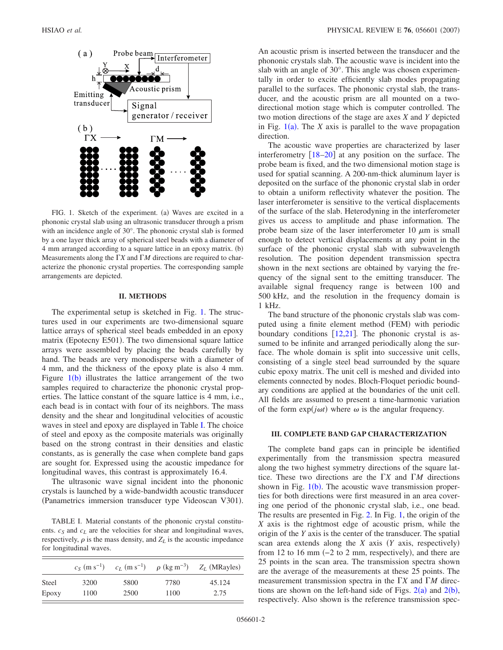<span id="page-1-0"></span>

FIG. 1. Sketch of the experiment. (a) Waves are excited in a phononic crystal slab using an ultrasonic transducer through a prism with an incidence angle of 30°. The phononic crystal slab is formed by a one layer thick array of spherical steel beads with a diameter of 4 mm arranged according to a square lattice in an epoxy matrix. (b) Measurements along the  $\Gamma X$  and  $\Gamma M$  directions are required to characterize the phononic crystal properties. The corresponding sample arrangements are depicted.

#### **II. METHODS**

The experimental setup is sketched in Fig. [1.](#page-1-0) The structures used in our experiments are two-dimensional square lattice arrays of spherical steel beads embedded in an epoxy matrix (Epotecny E501). The two dimensional square lattice arrays were assembled by placing the beads carefully by hand. The beads are very monodisperse with a diameter of 4 mm, and the thickness of the epoxy plate is also 4 mm. Figure  $1(b)$  $1(b)$  illustrates the lattice arrangement of the two samples required to characterize the phononic crystal properties. The lattice constant of the square lattice is 4 mm, i.e., each bead is in contact with four of its neighbors. The mass density and the shear and longitudinal velocities of acoustic waves in steel and epoxy are displayed in Table [I.](#page-1-1) The choice of steel and epoxy as the composite materials was originally based on the strong contrast in their densities and elastic constants, as is generally the case when complete band gaps are sought for. Expressed using the acoustic impedance for longitudinal waves, this contrast is approximately 16.4.

The ultrasonic wave signal incident into the phononic crystals is launched by a wide-bandwidth acoustic transducer (Panametrics immersion transducer type Videoscan V301).

<span id="page-1-1"></span>TABLE I. Material constants of the phononic crystal constituents.  $c_S$  and  $c_L$  are the velocities for shear and longitudinal waves, respectively,  $\rho$  is the mass density, and  $Z_L$  is the acoustic impedance for longitudinal waves.

|       | $c_s$ (m s <sup>-1</sup> ) |      | $c_L$ (m s <sup>-1</sup> ) $\rho$ (kg m <sup>-3</sup> ) | $Z_L$ (MRayles) |
|-------|----------------------------|------|---------------------------------------------------------|-----------------|
| Steel | 3200                       | 5800 | 7780                                                    | 45.124          |
| Epoxy | 1100                       | 2500 | 1100                                                    | 2.75            |

An acoustic prism is inserted between the transducer and the phononic crystals slab. The acoustic wave is incident into the slab with an angle of 30°. This angle was chosen experimentally in order to excite efficiently slab modes propagating parallel to the surfaces. The phononic crystal slab, the transducer, and the acoustic prism are all mounted on a twodirectional motion stage which is computer controlled. The two motion directions of the stage are axes *X* and *Y* depicted in Fig.  $1(a)$  $1(a)$ . The *X* axis is parallel to the wave propagation direction.

The acoustic wave properties are characterized by laser interferometry  $[18–20]$  $[18–20]$  $[18–20]$  $[18–20]$  at any position on the surface. The probe beam is fixed, and the two dimensional motion stage is used for spatial scanning. A 200-nm-thick aluminum layer is deposited on the surface of the phononic crystal slab in order to obtain a uniform reflectivity whatever the position. The laser interferometer is sensitive to the vertical displacements of the surface of the slab. Heterodyning in the interferometer gives us access to amplitude and phase information. The probe beam size of the laser interferometer 10  $\mu$ m is small enough to detect vertical displacements at any point in the surface of the phononic crystal slab with subwavelength resolution. The position dependent transmission spectra shown in the next sections are obtained by varying the frequency of the signal sent to the emitting transducer. The available signal frequency range is between 100 and 500 kHz, and the resolution in the frequency domain is 1 kHz.

The band structure of the phononic crystals slab was computed using a finite element method (FEM) with periodic boundary conditions  $[12,21]$  $[12,21]$  $[12,21]$  $[12,21]$ . The phononic crystal is assumed to be infinite and arranged periodically along the surface. The whole domain is split into successive unit cells, consisting of a single steel bead surrounded by the square cubic epoxy matrix. The unit cell is meshed and divided into elements connected by nodes. Bloch-Floquet periodic boundary conditions are applied at the boundaries of the unit cell. All fields are assumed to present a time-harmonic variation of the form  $exp(j\omega t)$  where  $\omega$  is the angular frequency.

# **III. COMPLETE BAND GAP CHARACTERIZATION**

The complete band gaps can in principle be identified experimentally from the transmission spectra measured along the two highest symmetry directions of the square lattice. These two directions are the  $\Gamma X$  and  $\Gamma M$  directions shown in Fig.  $1(b)$  $1(b)$ . The acoustic wave transmission properties for both directions were first measured in an area covering one period of the phononic crystal slab, i.e., one bead. The results are presented in Fig. [2.](#page-2-0) In Fig. [1,](#page-1-0) the origin of the *X* axis is the rightmost edge of acoustic prism, while the origin of the *Y* axis is the center of the transducer. The spatial scan area extends along the *X* axis (*Y* axis, respectively) from 12 to 16 mm  $(-2 \text{ to } 2 \text{ mm})$ , respectively), and there are 25 points in the scan area. The transmission spectra shown are the average of the measurements at these 25 points. The measurement transmission spectra in the  $\Gamma X$  and  $\Gamma M$  directions are shown on the left-hand side of Figs.  $2(a)$  $2(a)$  and  $2(b)$ , respectively. Also shown is the reference transmission spec-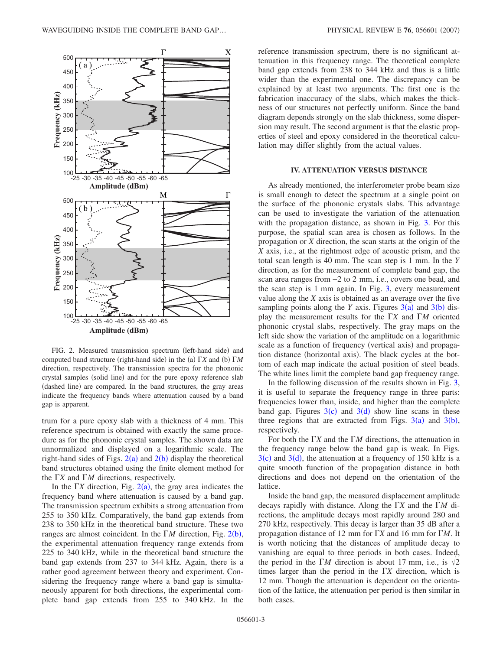<span id="page-2-0"></span>

FIG. 2. Measured transmission spectrum (left-hand side) and computed band structure (right-hand side) in the (a)  $\Gamma X$  and (b)  $\Gamma M$ direction, respectively. The transmission spectra for the phononic crystal samples (solid line) and for the pure epoxy reference slab (dashed line) are compared. In the band structures, the gray areas indicate the frequency bands where attenuation caused by a band gap is apparent.

trum for a pure epoxy slab with a thickness of 4 mm. This reference spectrum is obtained with exactly the same procedure as for the phononic crystal samples. The shown data are unnormalized and displayed on a logarithmic scale. The right-hand sides of Figs.  $2(a)$  $2(a)$  and  $2(b)$  display the theoretical band structures obtained using the finite element method for the  $\Gamma X$  and  $\Gamma M$  directions, respectively.

In the  $\Gamma X$  direction, Fig. [2](#page-2-0)(a), the gray area indicates the frequency band where attenuation is caused by a band gap. The transmission spectrum exhibits a strong attenuation from 255 to 350 kHz. Comparatively, the band gap extends from 238 to 350 kHz in the theoretical band structure. These two ranges are almost coincident. In the  $\Gamma M$  direction, Fig. [2](#page-2-0)(b), the experimental attenuation frequency range extends from 225 to 340 kHz, while in the theoretical band structure the band gap extends from 237 to 344 kHz. Again, there is a rather good agreement between theory and experiment. Considering the frequency range where a band gap is simultaneously apparent for both directions, the experimental complete band gap extends from 255 to 340 kHz. In the reference transmission spectrum, there is no significant attenuation in this frequency range. The theoretical complete band gap extends from 238 to 344 kHz and thus is a little wider than the experimental one. The discrepancy can be explained by at least two arguments. The first one is the fabrication inaccuracy of the slabs, which makes the thickness of our structures not perfectly uniform. Since the band diagram depends strongly on the slab thickness, some dispersion may result. The second argument is that the elastic properties of steel and epoxy considered in the theoretical calculation may differ slightly from the actual values.

## **IV. ATTENUATION VERSUS DISTANCE**

As already mentioned, the interferometer probe beam size is small enough to detect the spectrum at a single point on the surface of the phononic crystals slabs. This advantage can be used to investigate the variation of the attenuation with the propagation distance, as shown in Fig. [3.](#page-3-0) For this purpose, the spatial scan area is chosen as follows. In the propagation or *X* direction, the scan starts at the origin of the *X* axis, i.e., at the rightmost edge of acoustic prism, and the total scan length is 40 mm. The scan step is 1 mm. In the *Y* direction, as for the measurement of complete band gap, the scan area ranges from −2 to 2 mm, i.e., covers one bead, and the scan step is 1 mm again. In Fig. [3,](#page-3-0) every measurement value along the *X* axis is obtained as an average over the five sampling points along the *Y* axis. Figures  $3(a)$  $3(a)$  and  $3(b)$  display the measurement results for the  $\Gamma X$  and  $\Gamma M$  oriented phononic crystal slabs, respectively. The gray maps on the left side show the variation of the amplitude on a logarithmic scale as a function of frequency (vertical axis) and propagation distance (horizontal axis). The black cycles at the bottom of each map indicate the actual position of steel beads. The white lines limit the complete band gap frequency range.

In the following discussion of the results shown in Fig. [3,](#page-3-0) it is useful to separate the frequency range in three parts: frequencies lower than, inside, and higher than the complete band gap. Figures  $3(c)$  $3(c)$  and  $3(d)$  show line scans in these three regions that are extracted from Figs.  $3(a)$  $3(a)$  and  $3(b)$ , respectively.

For both the  $\Gamma X$  and the  $\Gamma M$  directions, the attenuation in the frequency range below the band gap is weak. In Figs.  $3(c)$  $3(c)$  and  $3(d)$ , the attenuation at a frequency of 150 kHz is a quite smooth function of the propagation distance in both directions and does not depend on the orientation of the lattice.

Inside the band gap, the measured displacement amplitude decays rapidly with distance. Along the *X* and the *M* directions, the amplitude decays most rapidly around 280 and 270 kHz, respectively. This decay is larger than 35 dB after a propagation distance of 12 mm for  $\Gamma X$  and 16 mm for  $\Gamma M$ . It is worth noticing that the distances of amplitude decay to vanishing are equal to three periods in both cases. Indeed, the period in the  $\Gamma M$  direction is about 17 mm, i.e., is  $\sqrt{2}$ times larger than the period in the  $\Gamma X$  direction, which is 12 mm. Though the attenuation is dependent on the orientation of the lattice, the attenuation per period is then similar in both cases.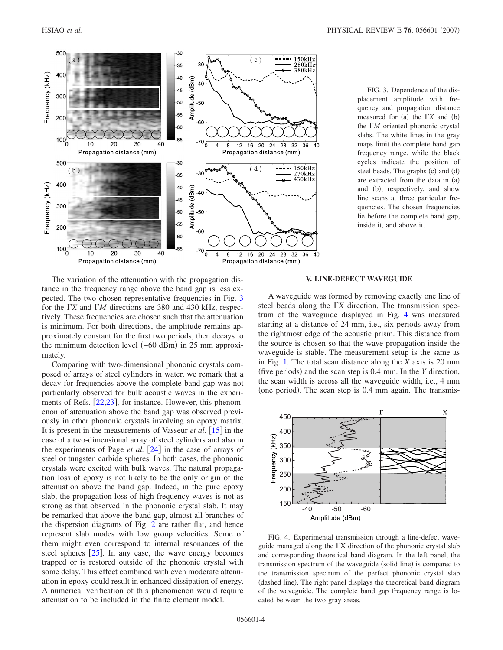<span id="page-3-0"></span>

FIG. 3. Dependence of the displacement amplitude with frequency and propagation distance measured for (a) the  $\Gamma X$  and (b) the *M* oriented phononic crystal slabs. The white lines in the gray maps limit the complete band gap frequency range, while the black cycles indicate the position of steel beads. The graphs (c) and (d) are extracted from the data in (a) and (b), respectively, and show line scans at three particular frequencies. The chosen frequencies lie before the complete band gap, inside it, and above it.

The variation of the attenuation with the propagation distance in the frequency range above the band gap is less expected. The two chosen representative frequencies in Fig. [3](#page-3-0) for the  $\Gamma X$  and  $\Gamma M$  directions are 380 and 430 kHz, respectively. These frequencies are chosen such that the attenuation is minimum. For both directions, the amplitude remains approximately constant for the first two periods, then decays to the minimum detection level (–60 dBm) in 25 mm approximately.

Comparing with two-dimensional phononic crystals composed of arrays of steel cylinders in water, we remark that a decay for frequencies above the complete band gap was not particularly observed for bulk acoustic waves in the experi-ments of Refs. [[22](#page-5-7)[,23](#page-5-8)], for instance. However, this phenomenon of attenuation above the band gap was observed previously in other phononic crystals involving an epoxy matrix. It is present in the measurements of Vasseur *et al.* [[15](#page-5-1)] in the case of a two-dimensional array of steel cylinders and also in the experiments of Page  $et$  al.  $[24]$  $[24]$  $[24]$  in the case of arrays of steel or tungsten carbide spheres. In both cases, the phononic crystals were excited with bulk waves. The natural propagation loss of epoxy is not likely to be the only origin of the attenuation above the band gap. Indeed, in the pure epoxy slab, the propagation loss of high frequency waves is not as strong as that observed in the phononic crystal slab. It may be remarked that above the band gap, almost all branches of the dispersion diagrams of Fig. [2](#page-2-0) are rather flat, and hence represent slab modes with low group velocities. Some of them might even correspond to internal resonances of the steel spheres  $[25]$  $[25]$  $[25]$ . In any case, the wave energy becomes trapped or is restored outside of the phononic crystal with some delay. This effect combined with even moderate attenuation in epoxy could result in enhanced dissipation of energy. A numerical verification of this phenomenon would require attenuation to be included in the finite element model.

#### **V. LINE-DEFECT WAVEGUIDE**

A waveguide was formed by removing exactly one line of steel beads along the  $\Gamma X$  direction. The transmission spectrum of the waveguide displayed in Fig. [4](#page-3-1) was measured starting at a distance of 24 mm, i.e., six periods away from the rightmost edge of the acoustic prism. This distance from the source is chosen so that the wave propagation inside the waveguide is stable. The measurement setup is the same as in Fig. [1.](#page-1-0) The total scan distance along the *X* axis is 20 mm (five periods) and the scan step is  $0.4$  mm. In the *Y* direction, the scan width is across all the waveguide width, i.e., 4 mm (one period). The scan step is 0.4 mm again. The transmis-

<span id="page-3-1"></span>

FIG. 4. Experimental transmission through a line-defect waveguide managed along the  $\Gamma X$  direction of the phononic crystal slab and corresponding theoretical band diagram. In the left panel, the transmission spectrum of the waveguide (solid line) is compared to the transmission spectrum of the perfect phononic crystal slab (dashed line). The right panel displays the theoretical band diagram of the waveguide. The complete band gap frequency range is located between the two gray areas.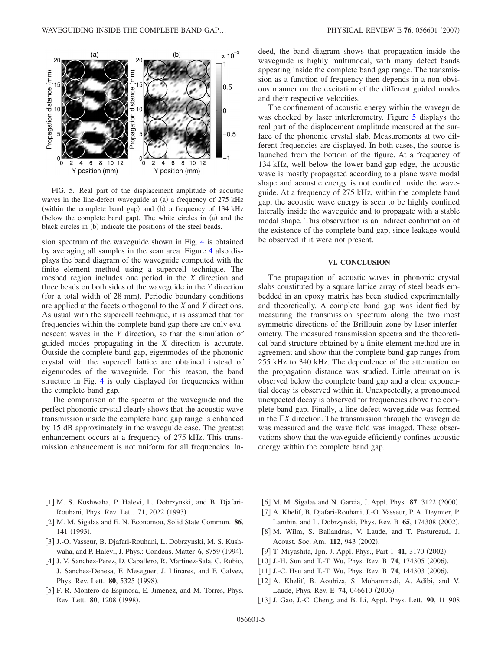<span id="page-4-7"></span>

FIG. 5. Real part of the displacement amplitude of acoustic waves in the line-defect waveguide at (a) a frequency of 275 kHz (within the complete band gap) and (b) a frequency of 134 kHz (below the complete band gap). The white circles in (a) and the black circles in (b) indicate the positions of the steel beads.

sion spectrum of the waveguide shown in Fig. [4](#page-3-1) is obtained by averaging all samples in the scan area. Figure [4](#page-3-1) also displays the band diagram of the waveguide computed with the finite element method using a supercell technique. The meshed region includes one period in the *X* direction and three beads on both sides of the waveguide in the *Y* direction (for a total width of 28 mm). Periodic boundary conditions are applied at the facets orthogonal to the *X* and *Y* directions. As usual with the supercell technique, it is assumed that for frequencies within the complete band gap there are only evanescent waves in the *Y* direction, so that the simulation of guided modes propagating in the *X* direction is accurate. Outside the complete band gap, eigenmodes of the phononic crystal with the supercell lattice are obtained instead of eigenmodes of the waveguide. For this reason, the band structure in Fig. [4](#page-3-1) is only displayed for frequencies within the complete band gap.

The comparison of the spectra of the waveguide and the perfect phononic crystal clearly shows that the acoustic wave transmission inside the complete band gap range is enhanced by 15 dB approximately in the waveguide case. The greatest enhancement occurs at a frequency of 275 kHz. This transmission enhancement is not uniform for all frequencies. Indeed, the band diagram shows that propagation inside the waveguide is highly multimodal, with many defect bands appearing inside the complete band gap range. The transmission as a function of frequency then depends in a non obvious manner on the excitation of the different guided modes and their respective velocities.

The confinement of acoustic energy within the waveguide was checked by laser interferometry. Figure [5](#page-4-7) displays the real part of the displacement amplitude measured at the surface of the phononic crystal slab. Measurements at two different frequencies are displayed. In both cases, the source is launched from the bottom of the figure. At a frequency of 134 kHz, well below the lower band gap edge, the acoustic wave is mostly propagated according to a plane wave modal shape and acoustic energy is not confined inside the waveguide. At a frequency of 275 kHz, within the complete band gap, the acoustic wave energy is seen to be highly confined laterally inside the waveguide and to propagate with a stable modal shape. This observation is an indirect confirmation of the existence of the complete band gap, since leakage would be observed if it were not present.

## **VI. CONCLUSION**

The propagation of acoustic waves in phononic crystal slabs constituted by a square lattice array of steel beads embedded in an epoxy matrix has been studied experimentally and theoretically. A complete band gap was identified by measuring the transmission spectrum along the two most symmetric directions of the Brillouin zone by laser interferometry. The measured transmission spectra and the theoretical band structure obtained by a finite element method are in agreement and show that the complete band gap ranges from 255 kHz to 340 kHz. The dependence of the attenuation on the propagation distance was studied. Little attenuation is observed below the complete band gap and a clear exponential decay is observed within it. Unexpectedly, a pronounced unexpected decay is observed for frequencies above the complete band gap. Finally, a line-defect waveguide was formed in the  $\Gamma X$  direction. The transmission through the waveguide was measured and the wave field was imaged. These observations show that the waveguide efficiently confines acoustic energy within the complete band gap.

- <span id="page-4-0"></span>[1] M. S. Kushwaha, P. Halevi, L. Dobrzynski, and B. Djafari-Rouhani, Phys. Rev. Lett. 71, 2022 (1993).
- <span id="page-4-1"></span>2 M. M. Sigalas and E. N. Economou, Solid State Commun. **86**, 141 (1993).
- <span id="page-4-2"></span>3 J.-O. Vasseur, B. Djafari-Rouhani, L. Dobrzynski, M. S. Kushwaha, and P. Halevi, J. Phys.: Condens. Matter 6, 8759 (1994).
- 4 J. V. Sanchez-Perez, D. Caballero, R. Martinez-Sala, C. Rubio, J. Sanchez-Dehesa, F. Meseguer, J. Llinares, and F. Galvez, Phys. Rev. Lett. **80**, 5325 (1998).
- [5] F. R. Montero de Espinosa, E. Jimenez, and M. Torres, Phys. Rev. Lett. **80**, 1208 (1998).
- [6] M. M. Sigalas and N. Garcia, J. Appl. Phys. 87, 3122 (2000).
- 7 A. Khelif, B. Djafari-Rouhani, J.-O. Vasseur, P. A. Deymier, P. Lambin, and L. Dobrzynski, Phys. Rev. B 65, 174308 (2002).
- [8] M. Wilm, S. Ballandras, V. Laude, and T. Pastureaud, J. Acoust. Soc. Am. 112, 943 (2002).
- <span id="page-4-3"></span>[9] T. Miyashita, Jpn. J. Appl. Phys., Part 1 41, 3170 (2002).
- <span id="page-4-4"></span>[10] J.-H. Sun and T.-T. Wu, Phys. Rev. B 74, 174305 (2006).
- [11] J.-C. Hsu and T.-T. Wu, Phys. Rev. B 74, 144303 (2006).
- <span id="page-4-6"></span>[12] A. Khelif, B. Aoubiza, S. Mohammadi, A. Adibi, and V. Laude, Phys. Rev. E **74**, 046610 (2006).
- <span id="page-4-5"></span>13 J. Gao, J.-C. Cheng, and B. Li, Appl. Phys. Lett. **90**, 111908